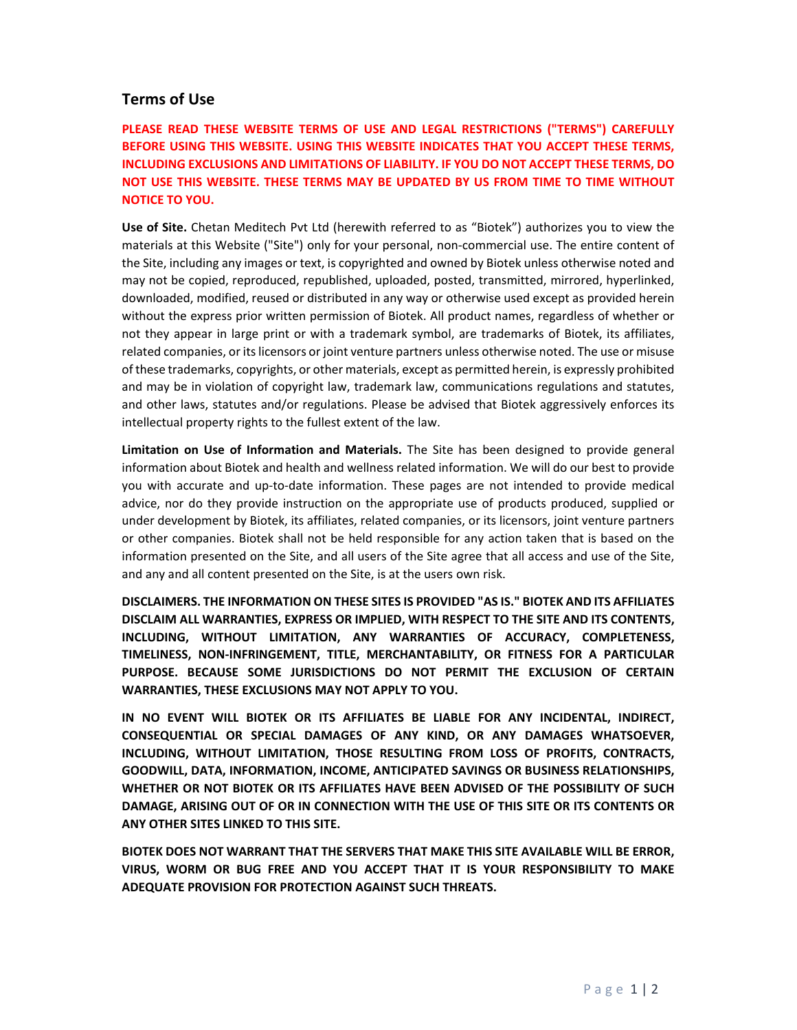## **Terms of Use**

**PLEASE READ THESE WEBSITE TERMS OF USE AND LEGAL RESTRICTIONS ("TERMS") CAREFULLY BEFORE USING THIS WEBSITE. USING THIS WEBSITE INDICATES THAT YOU ACCEPT THESE TERMS, INCLUDING EXCLUSIONS AND LIMITATIONS OF LIABILITY. IF YOU DO NOT ACCEPT THESE TERMS, DO NOT USE THIS WEBSITE. THESE TERMS MAY BE UPDATED BY US FROM TIME TO TIME WITHOUT NOTICE TO YOU.** 

**Use of Site.** Chetan Meditech Pvt Ltd (herewith referred to as "Biotek") authorizes you to view the materials at this Website ("Site") only for your personal, non-commercial use. The entire content of the Site, including any images or text, is copyrighted and owned by Biotek unless otherwise noted and may not be copied, reproduced, republished, uploaded, posted, transmitted, mirrored, hyperlinked, downloaded, modified, reused or distributed in any way or otherwise used except as provided herein without the express prior written permission of Biotek. All product names, regardless of whether or not they appear in large print or with a trademark symbol, are trademarks of Biotek, its affiliates, related companies, or its licensors or joint venture partners unless otherwise noted. The use or misuse of these trademarks, copyrights, or other materials, except as permitted herein, is expressly prohibited and may be in violation of copyright law, trademark law, communications regulations and statutes, and other laws, statutes and/or regulations. Please be advised that Biotek aggressively enforces its intellectual property rights to the fullest extent of the law.

**Limitation on Use of Information and Materials.**  The Site has been designed to provide general information about Biotek and health and wellness related information. We will do our best to provide you with accurate and up-to-date information. These pages are not intended to provide medical advice, nor do they provide instruction on the appropriate use of products produced, supplied or under development by Biotek, its affiliates, related companies, or its licensors, joint venture partners or other companies. Biotek shall not be held responsible for any action taken that is based on the information presented on the Site, and all users of the Site agree that all access and use of the Site, and any and all content presented on the Site, is at the users own risk.

**DISCLAIMERS. THE INFORMATION ON THESE SITES IS PROVIDED "AS IS." BIOTEK AND ITS AFFILIATES DISCLAIM ALL WARRANTIES, EXPRESS OR IMPLIED, WITH RESPECT TO THE SITE AND ITS CONTENTS, INCLUDING, WITHOUT LIMITATION, ANY WARRANTIES OF ACCURACY, COMPLETENESS, TIMELINESS, NON‐INFRINGEMENT, TITLE, MERCHANTABILITY, OR FITNESS FOR A PARTICULAR PURPOSE. BECAUSE SOME JURISDICTIONS DO NOT PERMIT THE EXCLUSION OF CERTAIN WARRANTIES, THESE EXCLUSIONS MAY NOT APPLY TO YOU.** 

**IN NO EVENT WILL BIOTEK OR ITS AFFILIATES BE LIABLE FOR ANY INCIDENTAL, INDIRECT, CONSEQUENTIAL OR SPECIAL DAMAGES OF ANY KIND, OR ANY DAMAGES WHATSOEVER, INCLUDING, WITHOUT LIMITATION, THOSE RESULTING FROM LOSS OF PROFITS, CONTRACTS, GOODWILL, DATA, INFORMATION, INCOME, ANTICIPATED SAVINGS OR BUSINESS RELATIONSHIPS, WHETHER OR NOT BIOTEK OR ITS AFFILIATES HAVE BEEN ADVISED OF THE POSSIBILITY OF SUCH DAMAGE, ARISING OUT OF OR IN CONNECTION WITH THE USE OF THIS SITE OR ITS CONTENTS OR ANY OTHER SITES LINKED TO THIS SITE.** 

**BIOTEK DOES NOT WARRANT THAT THE SERVERS THAT MAKE THIS SITE AVAILABLE WILL BE ERROR, VIRUS, WORM OR BUG FREE AND YOU ACCEPT THAT IT IS YOUR RESPONSIBILITY TO MAKE ADEQUATE PROVISION FOR PROTECTION AGAINST SUCH THREATS.**